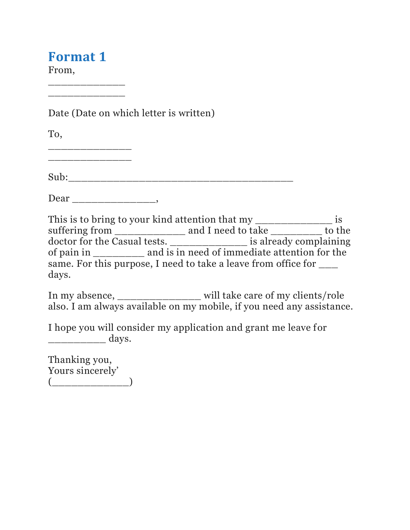## **Format 1**

\_\_\_\_\_\_\_\_\_\_\_\_ \_\_\_\_\_\_\_\_\_\_\_\_

From,

Date (Date on which letter is written)

To,

\_\_\_\_\_\_\_\_\_\_\_\_\_

Sub:\_\_\_\_\_\_\_\_\_\_\_\_\_\_\_\_\_\_\_\_\_\_\_\_\_\_\_\_\_\_\_\_\_\_\_

Dear \_\_\_\_\_\_\_\_\_\_\_\_\_,

This is to bring to your kind attention that my \_\_\_\_\_\_\_\_\_\_\_\_\_\_\_\_ is suffering from \_\_\_\_\_\_\_\_\_\_\_\_\_\_\_ and I need to take \_\_\_\_\_\_\_\_\_\_ to the doctor for the Casual tests. \_\_\_\_\_\_\_\_\_\_\_\_ is already complaining of pain in \_\_\_\_\_\_\_\_ and is in need of immediate attention for the same. For this purpose, I need to take a leave from office for  $\_\_$ days.

In my absence, \_\_\_\_\_\_\_\_\_\_\_\_\_ will take care of my clients/role also. I am always available on my mobile, if you need any assistance.

I hope you will consider my application and grant me leave for \_\_\_\_\_\_\_\_\_ days.

Thanking you, Yours sincerely'  $\begin{picture}(20,10) \put(0,0){\line(1,0){10}} \put(15,0){\line(1,0){10}} \put(15,0){\line(1,0){10}} \put(15,0){\line(1,0){10}} \put(15,0){\line(1,0){10}} \put(15,0){\line(1,0){10}} \put(15,0){\line(1,0){10}} \put(15,0){\line(1,0){10}} \put(15,0){\line(1,0){10}} \put(15,0){\line(1,0){10}} \put(15,0){\line(1,0){10}} \put(15,0){\line(1$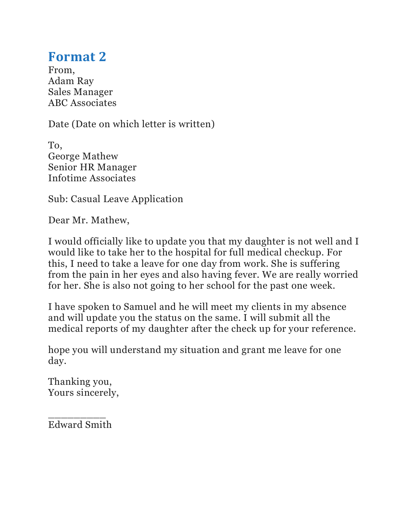## **Format 2**

From, Adam Ray Sales Manager ABC Associates

Date (Date on which letter is written)

To, George Mathew Senior HR Manager Infotime Associates

Sub: Casual Leave Application

Dear Mr. Mathew,

I would officially like to update you that my daughter is not well and I would like to take her to the hospital for full medical checkup. For this, I need to take a leave for one day from work. She is suffering from the pain in her eyes and also having fever. We are really worried for her. She is also not going to her school for the past one week.

I have spoken to Samuel and he will meet my clients in my absence and will update you the status on the same. I will submit all the medical reports of my daughter after the check up for your reference.

hope you will understand my situation and grant me leave for one day.

Thanking you, Yours sincerely,

\_\_\_\_\_\_\_\_\_ Edward Smith